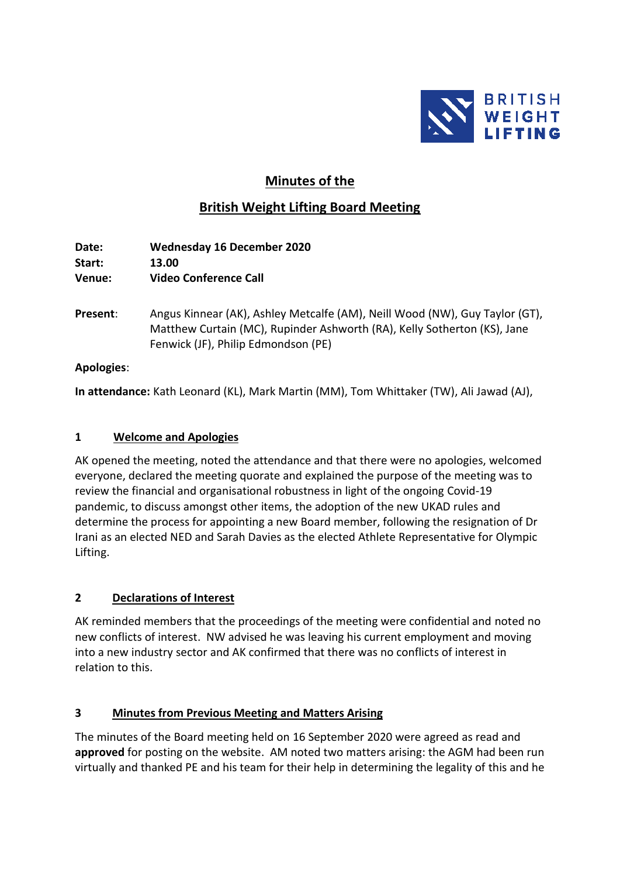

# **Minutes of the**

# **British Weight Lifting Board Meeting**

**Date: Wednesday 16 December 2020 Start: 13.00 Venue: Video Conference Call**

**Present**: Angus Kinnear (AK), Ashley Metcalfe (AM), Neill Wood (NW), Guy Taylor (GT), Matthew Curtain (MC), Rupinder Ashworth (RA), Kelly Sotherton (KS), Jane Fenwick (JF), Philip Edmondson (PE)

### **Apologies**:

**In attendance:** Kath Leonard (KL), Mark Martin (MM), Tom Whittaker (TW), Ali Jawad (AJ),

### **1 Welcome and Apologies**

AK opened the meeting, noted the attendance and that there were no apologies, welcomed everyone, declared the meeting quorate and explained the purpose of the meeting was to review the financial and organisational robustness in light of the ongoing Covid-19 pandemic, to discuss amongst other items, the adoption of the new UKAD rules and determine the process for appointing a new Board member, following the resignation of Dr Irani as an elected NED and Sarah Davies as the elected Athlete Representative for Olympic Lifting.

## **2 Declarations of Interest**

AK reminded members that the proceedings of the meeting were confidential and noted no new conflicts of interest. NW advised he was leaving his current employment and moving into a new industry sector and AK confirmed that there was no conflicts of interest in relation to this.

## **3 Minutes from Previous Meeting and Matters Arising**

The minutes of the Board meeting held on 16 September 2020 were agreed as read and **approved** for posting on the website. AM noted two matters arising: the AGM had been run virtually and thanked PE and his team for their help in determining the legality of this and he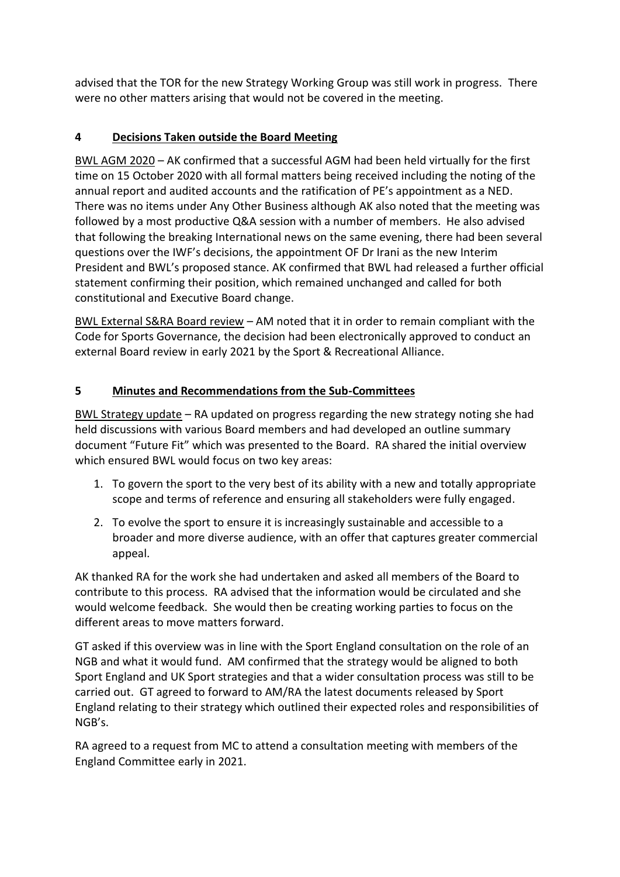advised that the TOR for the new Strategy Working Group was still work in progress. There were no other matters arising that would not be covered in the meeting.

## **4 Decisions Taken outside the Board Meeting**

BWL AGM 2020 – AK confirmed that a successful AGM had been held virtually for the first time on 15 October 2020 with all formal matters being received including the noting of the annual report and audited accounts and the ratification of PE's appointment as a NED. There was no items under Any Other Business although AK also noted that the meeting was followed by a most productive Q&A session with a number of members. He also advised that following the breaking International news on the same evening, there had been several questions over the IWF's decisions, the appointment OF Dr Irani as the new Interim President and BWL's proposed stance. AK confirmed that BWL had released a further official statement confirming their position, which remained unchanged and called for both constitutional and Executive Board change.

BWL External S&RA Board review – AM noted that it in order to remain compliant with the Code for Sports Governance, the decision had been electronically approved to conduct an external Board review in early 2021 by the Sport & Recreational Alliance.

## **5 Minutes and Recommendations from the Sub-Committees**

BWL Strategy update – RA updated on progress regarding the new strategy noting she had held discussions with various Board members and had developed an outline summary document "Future Fit" which was presented to the Board. RA shared the initial overview which ensured BWL would focus on two key areas:

- 1. To govern the sport to the very best of its ability with a new and totally appropriate scope and terms of reference and ensuring all stakeholders were fully engaged.
- 2. To evolve the sport to ensure it is increasingly sustainable and accessible to a broader and more diverse audience, with an offer that captures greater commercial appeal.

AK thanked RA for the work she had undertaken and asked all members of the Board to contribute to this process. RA advised that the information would be circulated and she would welcome feedback. She would then be creating working parties to focus on the different areas to move matters forward.

GT asked if this overview was in line with the Sport England consultation on the role of an NGB and what it would fund. AM confirmed that the strategy would be aligned to both Sport England and UK Sport strategies and that a wider consultation process was still to be carried out. GT agreed to forward to AM/RA the latest documents released by Sport England relating to their strategy which outlined their expected roles and responsibilities of NGB's.

RA agreed to a request from MC to attend a consultation meeting with members of the England Committee early in 2021.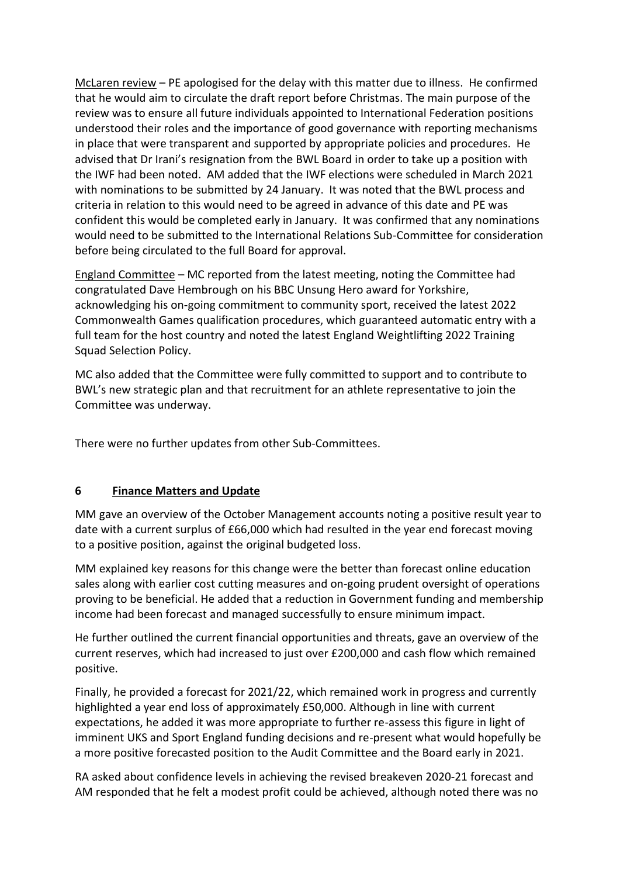McLaren review – PE apologised for the delay with this matter due to illness. He confirmed that he would aim to circulate the draft report before Christmas. The main purpose of the review was to ensure all future individuals appointed to International Federation positions understood their roles and the importance of good governance with reporting mechanisms in place that were transparent and supported by appropriate policies and procedures. He advised that Dr Irani's resignation from the BWL Board in order to take up a position with the IWF had been noted. AM added that the IWF elections were scheduled in March 2021 with nominations to be submitted by 24 January. It was noted that the BWL process and criteria in relation to this would need to be agreed in advance of this date and PE was confident this would be completed early in January. It was confirmed that any nominations would need to be submitted to the International Relations Sub-Committee for consideration before being circulated to the full Board for approval.

England Committee – MC reported from the latest meeting, noting the Committee had congratulated Dave Hembrough on his BBC Unsung Hero award for Yorkshire, acknowledging his on-going commitment to community sport, received the latest 2022 Commonwealth Games qualification procedures, which guaranteed automatic entry with a full team for the host country and noted the latest England Weightlifting 2022 Training Squad Selection Policy.

MC also added that the Committee were fully committed to support and to contribute to BWL's new strategic plan and that recruitment for an athlete representative to join the Committee was underway.

There were no further updates from other Sub-Committees.

### **6 Finance Matters and Update**

MM gave an overview of the October Management accounts noting a positive result year to date with a current surplus of £66,000 which had resulted in the year end forecast moving to a positive position, against the original budgeted loss.

MM explained key reasons for this change were the better than forecast online education sales along with earlier cost cutting measures and on-going prudent oversight of operations proving to be beneficial. He added that a reduction in Government funding and membership income had been forecast and managed successfully to ensure minimum impact.

He further outlined the current financial opportunities and threats, gave an overview of the current reserves, which had increased to just over £200,000 and cash flow which remained positive.

Finally, he provided a forecast for 2021/22, which remained work in progress and currently highlighted a year end loss of approximately £50,000. Although in line with current expectations, he added it was more appropriate to further re-assess this figure in light of imminent UKS and Sport England funding decisions and re-present what would hopefully be a more positive forecasted position to the Audit Committee and the Board early in 2021.

RA asked about confidence levels in achieving the revised breakeven 2020-21 forecast and AM responded that he felt a modest profit could be achieved, although noted there was no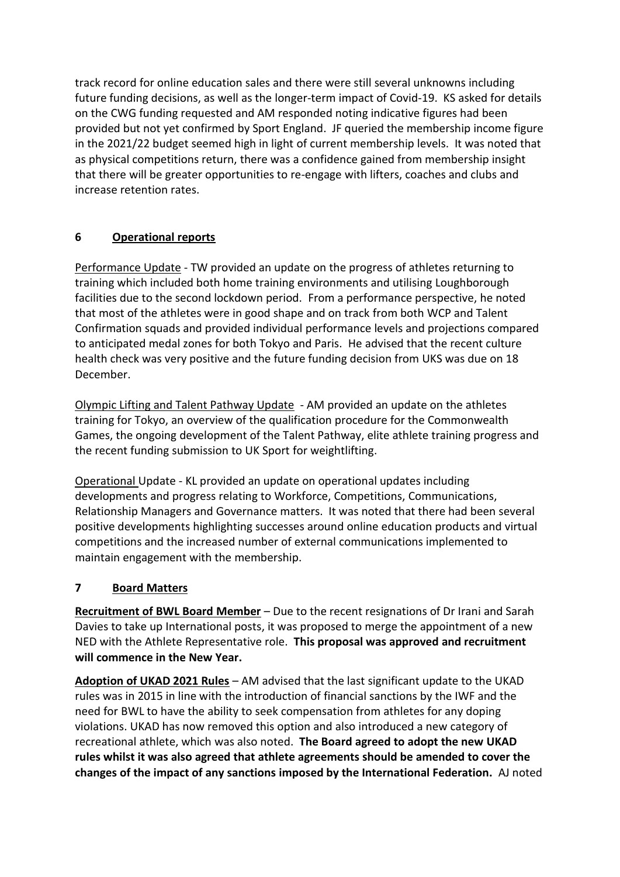track record for online education sales and there were still several unknowns including future funding decisions, as well as the longer-term impact of Covid-19. KS asked for details on the CWG funding requested and AM responded noting indicative figures had been provided but not yet confirmed by Sport England. JF queried the membership income figure in the 2021/22 budget seemed high in light of current membership levels. It was noted that as physical competitions return, there was a confidence gained from membership insight that there will be greater opportunities to re-engage with lifters, coaches and clubs and increase retention rates.

## **6 Operational reports**

Performance Update - TW provided an update on the progress of athletes returning to training which included both home training environments and utilising Loughborough facilities due to the second lockdown period. From a performance perspective, he noted that most of the athletes were in good shape and on track from both WCP and Talent Confirmation squads and provided individual performance levels and projections compared to anticipated medal zones for both Tokyo and Paris. He advised that the recent culture health check was very positive and the future funding decision from UKS was due on 18 December.

Olympic Lifting and Talent Pathway Update - AM provided an update on the athletes training for Tokyo, an overview of the qualification procedure for the Commonwealth Games, the ongoing development of the Talent Pathway, elite athlete training progress and the recent funding submission to UK Sport for weightlifting.

Operational Update - KL provided an update on operational updates including developments and progress relating to Workforce, Competitions, Communications, Relationship Managers and Governance matters. It was noted that there had been several positive developments highlighting successes around online education products and virtual competitions and the increased number of external communications implemented to maintain engagement with the membership.

## **7 Board Matters**

**Recruitment of BWL Board Member** – Due to the recent resignations of Dr Irani and Sarah Davies to take up International posts, it was proposed to merge the appointment of a new NED with the Athlete Representative role. **This proposal was approved and recruitment will commence in the New Year.**

**Adoption of UKAD 2021 Rules** – AM advised that the last significant update to the UKAD rules was in 2015 in line with the introduction of financial sanctions by the IWF and the need for BWL to have the ability to seek compensation from athletes for any doping violations. UKAD has now removed this option and also introduced a new category of recreational athlete, which was also noted. **The Board agreed to adopt the new UKAD rules whilst it was also agreed that athlete agreements should be amended to cover the changes of the impact of any sanctions imposed by the International Federation.** AJ noted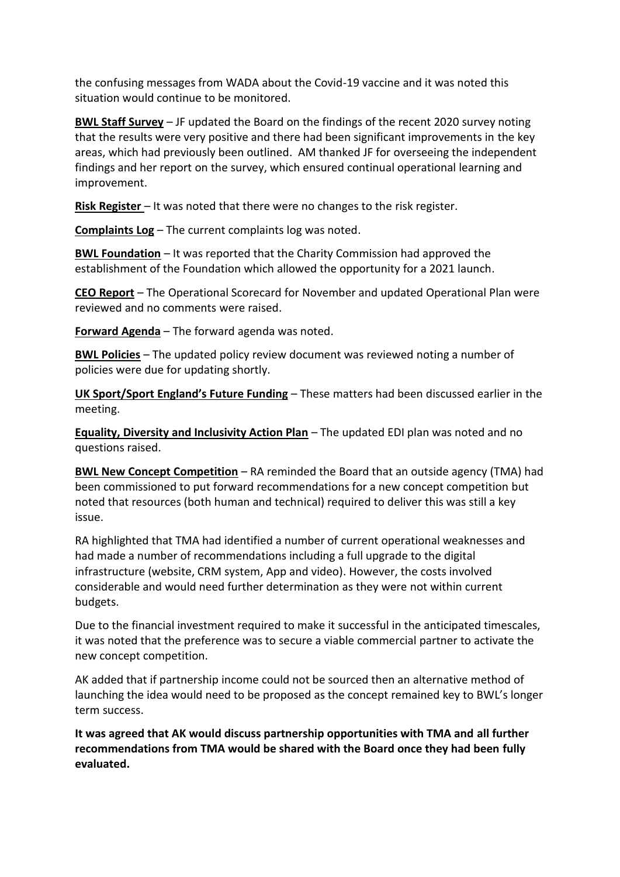the confusing messages from WADA about the Covid-19 vaccine and it was noted this situation would continue to be monitored.

**BWL Staff Survey** – JF updated the Board on the findings of the recent 2020 survey noting that the results were very positive and there had been significant improvements in the key areas, which had previously been outlined. AM thanked JF for overseeing the independent findings and her report on the survey, which ensured continual operational learning and improvement.

**Risk Register** – It was noted that there were no changes to the risk register.

**Complaints Log** – The current complaints log was noted.

**BWL Foundation** – It was reported that the Charity Commission had approved the establishment of the Foundation which allowed the opportunity for a 2021 launch.

**CEO Report** – The Operational Scorecard for November and updated Operational Plan were reviewed and no comments were raised.

**Forward Agenda** – The forward agenda was noted.

**BWL Policies** – The updated policy review document was reviewed noting a number of policies were due for updating shortly.

**UK Sport/Sport England's Future Funding** – These matters had been discussed earlier in the meeting.

**Equality, Diversity and Inclusivity Action Plan** – The updated EDI plan was noted and no questions raised.

**BWL New Concept Competition** – RA reminded the Board that an outside agency (TMA) had been commissioned to put forward recommendations for a new concept competition but noted that resources (both human and technical) required to deliver this was still a key issue.

RA highlighted that TMA had identified a number of current operational weaknesses and had made a number of recommendations including a full upgrade to the digital infrastructure (website, CRM system, App and video). However, the costs involved considerable and would need further determination as they were not within current budgets.

Due to the financial investment required to make it successful in the anticipated timescales, it was noted that the preference was to secure a viable commercial partner to activate the new concept competition.

AK added that if partnership income could not be sourced then an alternative method of launching the idea would need to be proposed as the concept remained key to BWL's longer term success.

**It was agreed that AK would discuss partnership opportunities with TMA and all further recommendations from TMA would be shared with the Board once they had been fully evaluated.**